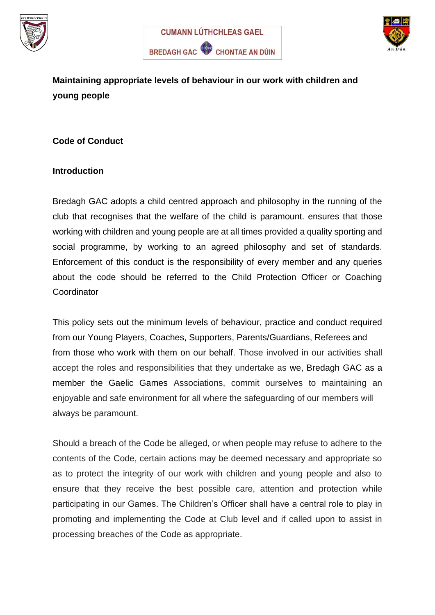





**Maintaining appropriate levels of behaviour in our work with children and young people**

#### **Code of Conduct**

#### **Introduction**

Bredagh GAC adopts a child centred approach and philosophy in the running of the club that recognises that the welfare of the child is paramount. ensures that those working with children and young people are at all times provided a quality sporting and social programme, by working to an agreed philosophy and set of standards. Enforcement of this conduct is the responsibility of every member and any queries about the code should be referred to the Child Protection Officer or Coaching **Coordinator** 

This policy sets out the minimum levels of behaviour, practice and conduct required from our Young Players, Coaches, Supporters, Parents/Guardians, Referees and from those who work with them on our behalf. Those involved in our activities shall accept the roles and responsibilities that they undertake as we, Bredagh GAC as a member the Gaelic Games Associations, commit ourselves to maintaining an enjoyable and safe environment for all where the safeguarding of our members will always be paramount.

Should a breach of the Code be alleged, or when people may refuse to adhere to the contents of the Code, certain actions may be deemed necessary and appropriate so as to protect the integrity of our work with children and young people and also to ensure that they receive the best possible care, attention and protection while participating in our Games. The Children's Officer shall have a central role to play in promoting and implementing the Code at Club level and if called upon to assist in processing breaches of the Code as appropriate.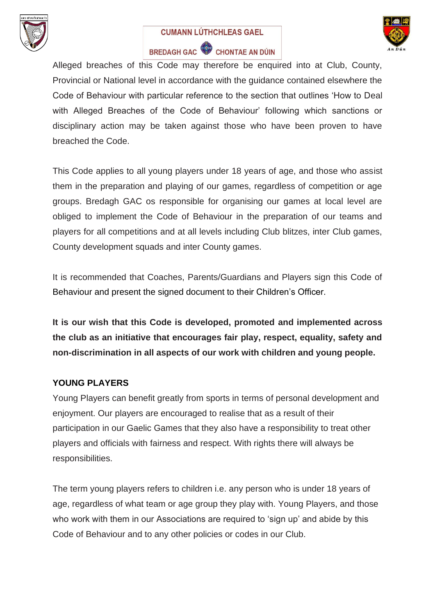

#### **CUMANN LÚTHCHLEAS GAEL**



# BREDAGH GAC CHONTAE AN DÚIN

Alleged breaches of this Code may therefore be enquired into at Club, County, Provincial or National level in accordance with the guidance contained elsewhere the Code of Behaviour with particular reference to the section that outlines 'How to Deal with Alleged Breaches of the Code of Behaviour' following which sanctions or disciplinary action may be taken against those who have been proven to have breached the Code.

This Code applies to all young players under 18 years of age, and those who assist them in the preparation and playing of our games, regardless of competition or age groups. Bredagh GAC os responsible for organising our games at local level are obliged to implement the Code of Behaviour in the preparation of our teams and players for all competitions and at all levels including Club blitzes, inter Club games, County development squads and inter County games.

It is recommended that Coaches, Parents/Guardians and Players sign this Code of Behaviour and present the signed document to their Children's Officer.

**It is our wish that this Code is developed, promoted and implemented across the club as an initiative that encourages fair play, respect, equality, safety and non-discrimination in all aspects of our work with children and young people.**

#### **YOUNG PLAYERS**

Young Players can benefit greatly from sports in terms of personal development and enjoyment. Our players are encouraged to realise that as a result of their participation in our Gaelic Games that they also have a responsibility to treat other players and officials with fairness and respect. With rights there will always be responsibilities.

The term young players refers to children i.e. any person who is under 18 years of age, regardless of what team or age group they play with. Young Players, and those who work with them in our Associations are required to 'sign up' and abide by this Code of Behaviour and to any other policies or codes in our Club.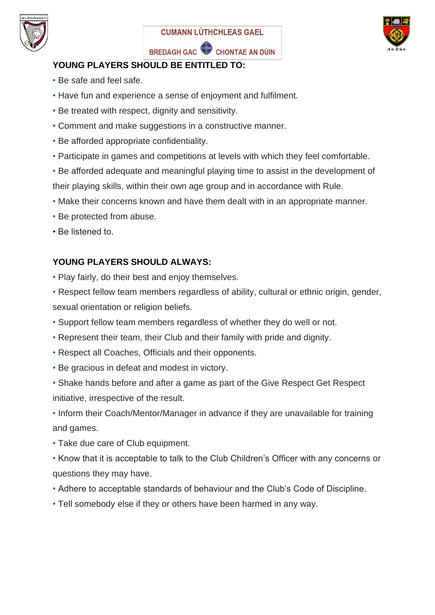





#### **YOUNG PLAYERS SHOULD BE ENTITLED TO:**

- Be safe and feel safe.
- Have fun and experience a sense of enjoyment and fulfilment.
- Be treated with respect, dignity and sensitivity.
- Comment and make suggestions in a constructive manner.
- Be afforded appropriate confidentiality.
- Participate in games and competitions at levels with which they feel comfortable.

• Be afforded adequate and meaningful playing time to assist in the development of their playing skills, within their own age group and in accordance with Rule.

• Make their concerns known and have them dealt with in an appropriate manner.

- Be protected from abuse.
- Be listened to.

#### **YOUNG PLAYERS SHOULD ALWAYS:**

- Play fairly, do their best and enjoy themselves.
- Respect fellow team members regardless of ability, cultural or ethnic origin, gender, sexual orientation or religion beliefs.
- Support fellow team members regardless of whether they do well or not.
- Represent their team, their Club and their family with pride and dignity.
- Respect all Coaches, Officials and their opponents.
- Be gracious in defeat and modest in victory.
- Shake hands before and after a game as part of the Give Respect Get Respect initiative, irrespective of the result.

• Inform their Coach/Mentor/Manager in advance if they are unavailable for training and games.

- Take due care of Club equipment.
- Know that it is acceptable to talk to the Club Children's Officer with any concerns or questions they may have.
- Adhere to acceptable standards of behaviour and the Club's Code of Discipline.
- Tell somebody else if they or others have been harmed in any way.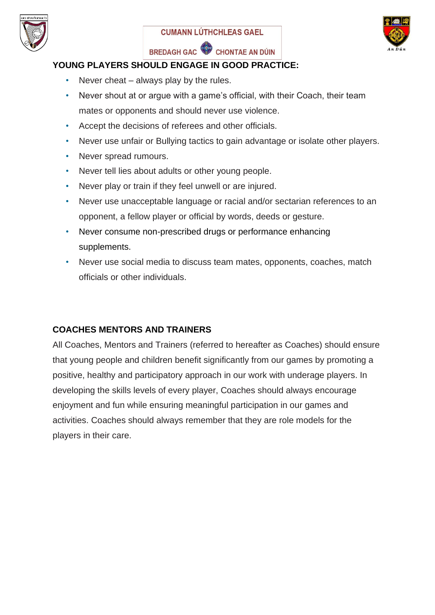





#### **YOUNG PLAYERS SHOULD ENGAGE IN GOOD PRACTICE:**

- Never cheat  $-$  always play by the rules.
- Never shout at or argue with a game's official, with their Coach, their team mates or opponents and should never use violence.
- Accept the decisions of referees and other officials.
- Never use unfair or Bullying tactics to gain advantage or isolate other players.
- Never spread rumours.
- Never tell lies about adults or other young people.
- Never play or train if they feel unwell or are injured.
- Never use unacceptable language or racial and/or sectarian references to an opponent, a fellow player or official by words, deeds or gesture.
- Never consume non-prescribed drugs or performance enhancing supplements.
- Never use social media to discuss team mates, opponents, coaches, match officials or other individuals.

#### **COACHES MENTORS AND TRAINERS**

All Coaches, Mentors and Trainers (referred to hereafter as Coaches) should ensure that young people and children benefit significantly from our games by promoting a positive, healthy and participatory approach in our work with underage players. In developing the skills levels of every player, Coaches should always encourage enjoyment and fun while ensuring meaningful participation in our games and activities. Coaches should always remember that they are role models for the players in their care.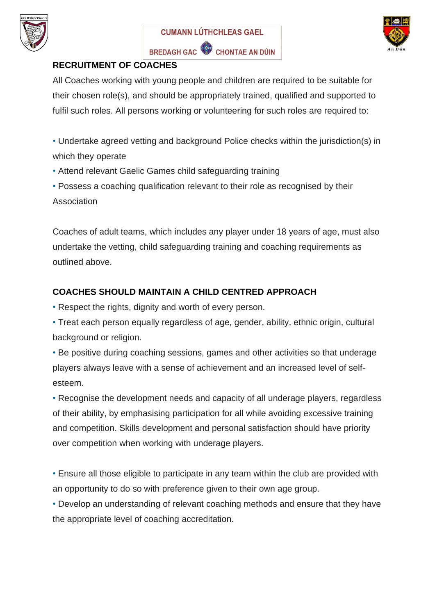





#### **RECRUITMENT OF COACHES**

All Coaches working with young people and children are required to be suitable for their chosen role(s), and should be appropriately trained, qualified and supported to fulfil such roles. All persons working or volunteering for such roles are required to:

- Undertake agreed vetting and background Police checks within the jurisdiction(s) in which they operate
- Attend relevant Gaelic Games child safeguarding training
- Possess a coaching qualification relevant to their role as recognised by their Association

Coaches of adult teams, which includes any player under 18 years of age, must also undertake the vetting, child safeguarding training and coaching requirements as outlined above.

## **COACHES SHOULD MAINTAIN A CHILD CENTRED APPROACH**

• Respect the rights, dignity and worth of every person.

• Treat each person equally regardless of age, gender, ability, ethnic origin, cultural background or religion.

• Be positive during coaching sessions, games and other activities so that underage players always leave with a sense of achievement and an increased level of selfesteem.

• Recognise the development needs and capacity of all underage players, regardless of their ability, by emphasising participation for all while avoiding excessive training and competition. Skills development and personal satisfaction should have priority over competition when working with underage players.

• Ensure all those eligible to participate in any team within the club are provided with an opportunity to do so with preference given to their own age group.

• Develop an understanding of relevant coaching methods and ensure that they have the appropriate level of coaching accreditation.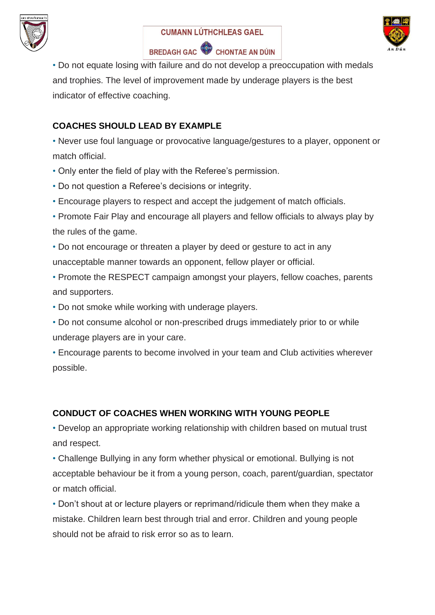





• Do not equate losing with failure and do not develop a preoccupation with medals and trophies. The level of improvement made by underage players is the best indicator of effective coaching.

#### **COACHES SHOULD LEAD BY EXAMPLE**

• Never use foul language or provocative language/gestures to a player, opponent or match official.

- Only enter the field of play with the Referee's permission.
- Do not question a Referee's decisions or integrity.
- Encourage players to respect and accept the judgement of match officials.
- Promote Fair Play and encourage all players and fellow officials to always play by the rules of the game.

• Do not encourage or threaten a player by deed or gesture to act in any unacceptable manner towards an opponent, fellow player or official.

- Promote the RESPECT campaign amongst your players, fellow coaches, parents and supporters.
- Do not smoke while working with underage players.
- Do not consume alcohol or non-prescribed drugs immediately prior to or while underage players are in your care.
- Encourage parents to become involved in your team and Club activities wherever possible.

## **CONDUCT OF COACHES WHEN WORKING WITH YOUNG PEOPLE**

• Develop an appropriate working relationship with children based on mutual trust and respect.

• Challenge Bullying in any form whether physical or emotional. Bullying is not acceptable behaviour be it from a young person, coach, parent/guardian, spectator or match official.

• Don't shout at or lecture players or reprimand/ridicule them when they make a mistake. Children learn best through trial and error. Children and young people should not be afraid to risk error so as to learn.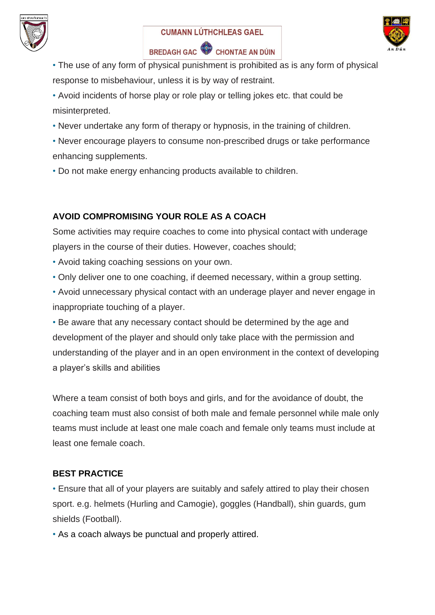





- The use of any form of physical punishment is prohibited as is any form of physical response to misbehaviour, unless it is by way of restraint.
- Avoid incidents of horse play or role play or telling jokes etc. that could be misinterpreted.
- Never undertake any form of therapy or hypnosis, in the training of children.
- Never encourage players to consume non-prescribed drugs or take performance enhancing supplements.
- Do not make energy enhancing products available to children.

## **AVOID COMPROMISING YOUR ROLE AS A COACH**

Some activities may require coaches to come into physical contact with underage players in the course of their duties. However, coaches should;

- Avoid taking coaching sessions on your own.
- Only deliver one to one coaching, if deemed necessary, within a group setting.
- Avoid unnecessary physical contact with an underage player and never engage in inappropriate touching of a player.

• Be aware that any necessary contact should be determined by the age and development of the player and should only take place with the permission and understanding of the player and in an open environment in the context of developing a player's skills and abilities

Where a team consist of both boys and girls, and for the avoidance of doubt, the coaching team must also consist of both male and female personnel while male only teams must include at least one male coach and female only teams must include at least one female coach.

#### **BEST PRACTICE**

• Ensure that all of your players are suitably and safely attired to play their chosen sport. e.g. helmets (Hurling and Camogie), goggles (Handball), shin guards, gum shields (Football).

• As a coach always be punctual and properly attired.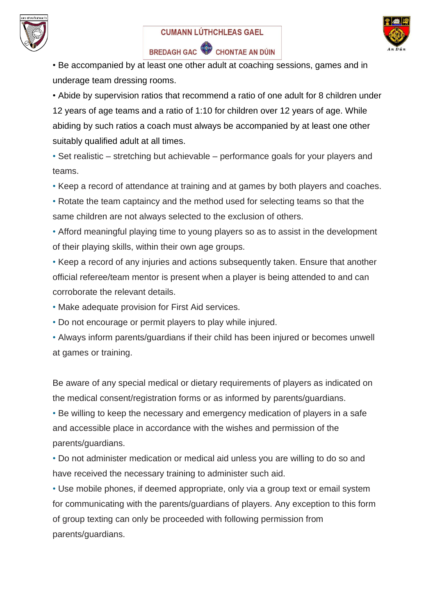





• Be accompanied by at least one other adult at coaching sessions, games and in underage team dressing rooms.

• Abide by supervision ratios that recommend a ratio of one adult for 8 children under 12 years of age teams and a ratio of 1:10 for children over 12 years of age. While abiding by such ratios a coach must always be accompanied by at least one other suitably qualified adult at all times.

• Set realistic – stretching but achievable – performance goals for your players and teams.

• Keep a record of attendance at training and at games by both players and coaches.

• Rotate the team captaincy and the method used for selecting teams so that the same children are not always selected to the exclusion of others.

• Afford meaningful playing time to young players so as to assist in the development of their playing skills, within their own age groups.

• Keep a record of any injuries and actions subsequently taken. Ensure that another official referee/team mentor is present when a player is being attended to and can corroborate the relevant details.

• Make adequate provision for First Aid services.

• Do not encourage or permit players to play while injured.

• Always inform parents/guardians if their child has been injured or becomes unwell at games or training.

Be aware of any special medical or dietary requirements of players as indicated on the medical consent/registration forms or as informed by parents/guardians.

• Be willing to keep the necessary and emergency medication of players in a safe and accessible place in accordance with the wishes and permission of the parents/guardians.

• Do not administer medication or medical aid unless you are willing to do so and have received the necessary training to administer such aid.

• Use mobile phones, if deemed appropriate, only via a group text or email system for communicating with the parents/guardians of players. Any exception to this form of group texting can only be proceeded with following permission from parents/guardians.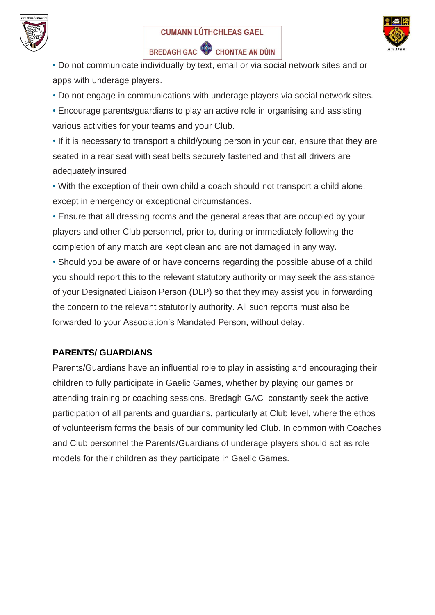





• Do not communicate individually by text, email or via social network sites and or apps with underage players.

• Do not engage in communications with underage players via social network sites.

• Encourage parents/guardians to play an active role in organising and assisting various activities for your teams and your Club.

• If it is necessary to transport a child/young person in your car, ensure that they are seated in a rear seat with seat belts securely fastened and that all drivers are adequately insured.

• With the exception of their own child a coach should not transport a child alone, except in emergency or exceptional circumstances.

• Ensure that all dressing rooms and the general areas that are occupied by your players and other Club personnel, prior to, during or immediately following the completion of any match are kept clean and are not damaged in any way.

• Should you be aware of or have concerns regarding the possible abuse of a child you should report this to the relevant statutory authority or may seek the assistance of your Designated Liaison Person (DLP) so that they may assist you in forwarding the concern to the relevant statutorily authority. All such reports must also be forwarded to your Association's Mandated Person, without delay.

#### **PARENTS/ GUARDIANS**

Parents/Guardians have an influential role to play in assisting and encouraging their children to fully participate in Gaelic Games, whether by playing our games or attending training or coaching sessions. Bredagh GAC constantly seek the active participation of all parents and guardians, particularly at Club level, where the ethos of volunteerism forms the basis of our community led Club. In common with Coaches and Club personnel the Parents/Guardians of underage players should act as role models for their children as they participate in Gaelic Games.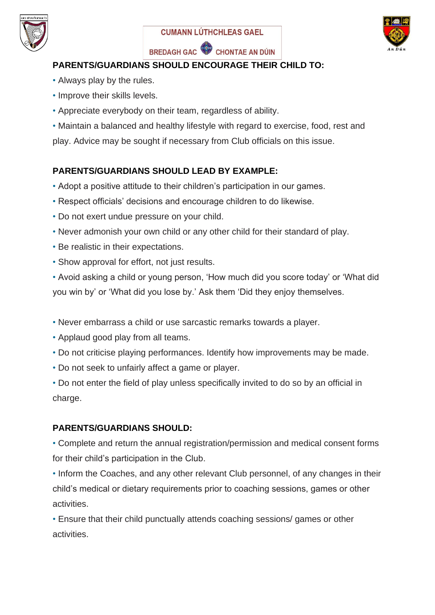





## **PARENTS/GUARDIANS SHOULD ENCOURAGE THEIR CHILD TO:**

- Always play by the rules.
- Improve their skills levels.
- Appreciate everybody on their team, regardless of ability.
- Maintain a balanced and healthy lifestyle with regard to exercise, food, rest and

play. Advice may be sought if necessary from Club officials on this issue.

## **PARENTS/GUARDIANS SHOULD LEAD BY EXAMPLE:**

- Adopt a positive attitude to their children's participation in our games.
- Respect officials' decisions and encourage children to do likewise.
- Do not exert undue pressure on your child.
- Never admonish your own child or any other child for their standard of play.
- Be realistic in their expectations.
- Show approval for effort, not just results.

• Avoid asking a child or young person, 'How much did you score today' or 'What did you win by' or 'What did you lose by.' Ask them 'Did they enjoy themselves.

- Never embarrass a child or use sarcastic remarks towards a player.
- Applaud good play from all teams.
- Do not criticise playing performances. Identify how improvements may be made.
- Do not seek to unfairly affect a game or player.

• Do not enter the field of play unless specifically invited to do so by an official in charge.

## **PARENTS/GUARDIANS SHOULD:**

• Complete and return the annual registration/permission and medical consent forms for their child's participation in the Club.

• Inform the Coaches, and any other relevant Club personnel, of any changes in their child's medical or dietary requirements prior to coaching sessions, games or other activities.

• Ensure that their child punctually attends coaching sessions/ games or other activities.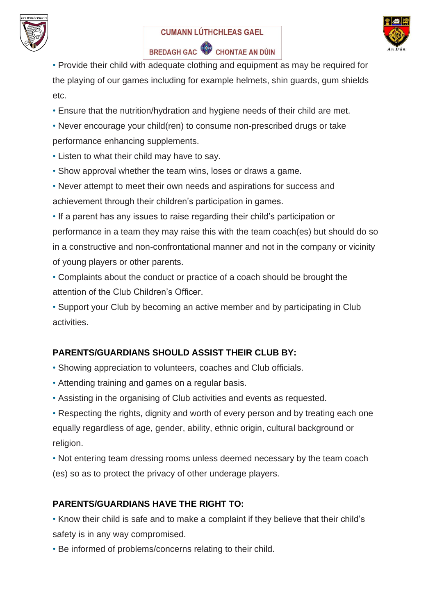





• Provide their child with adequate clothing and equipment as may be required for the playing of our games including for example helmets, shin guards, gum shields etc.

• Ensure that the nutrition/hydration and hygiene needs of their child are met.

• Never encourage your child(ren) to consume non-prescribed drugs or take performance enhancing supplements.

• Listen to what their child may have to say.

• Show approval whether the team wins, loses or draws a game.

• Never attempt to meet their own needs and aspirations for success and achievement through their children's participation in games.

• If a parent has any issues to raise regarding their child's participation or performance in a team they may raise this with the team coach(es) but should do so in a constructive and non-confrontational manner and not in the company or vicinity of young players or other parents.

• Complaints about the conduct or practice of a coach should be brought the attention of the Club Children's Officer.

• Support your Club by becoming an active member and by participating in Club activities.

## **PARENTS/GUARDIANS SHOULD ASSIST THEIR CLUB BY:**

- Showing appreciation to volunteers, coaches and Club officials.
- Attending training and games on a regular basis.
- Assisting in the organising of Club activities and events as requested.

• Respecting the rights, dignity and worth of every person and by treating each one equally regardless of age, gender, ability, ethnic origin, cultural background or religion.

• Not entering team dressing rooms unless deemed necessary by the team coach (es) so as to protect the privacy of other underage players.

## **PARENTS/GUARDIANS HAVE THE RIGHT TO:**

• Know their child is safe and to make a complaint if they believe that their child's safety is in any way compromised.

• Be informed of problems/concerns relating to their child.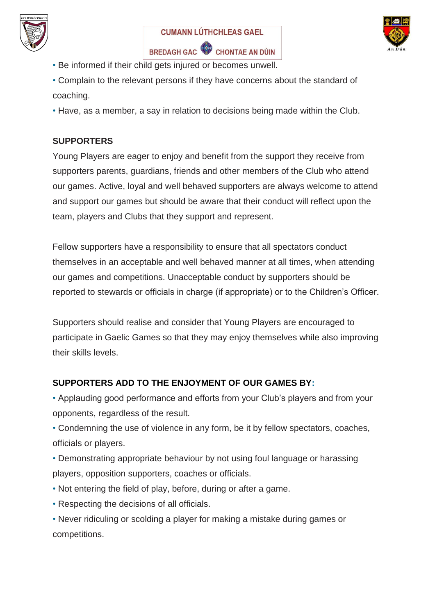





- Be informed if their child gets injured or becomes unwell.
- Complain to the relevant persons if they have concerns about the standard of coaching.
- Have, as a member, a say in relation to decisions being made within the Club.

#### **SUPPORTERS**

Young Players are eager to enjoy and benefit from the support they receive from supporters parents, guardians, friends and other members of the Club who attend our games. Active, loyal and well behaved supporters are always welcome to attend and support our games but should be aware that their conduct will reflect upon the team, players and Clubs that they support and represent.

Fellow supporters have a responsibility to ensure that all spectators conduct themselves in an acceptable and well behaved manner at all times, when attending our games and competitions. Unacceptable conduct by supporters should be reported to stewards or officials in charge (if appropriate) or to the Children's Officer.

Supporters should realise and consider that Young Players are encouraged to participate in Gaelic Games so that they may enjoy themselves while also improving their skills levels.

## **SUPPORTERS ADD TO THE ENJOYMENT OF OUR GAMES BY:**

• Applauding good performance and efforts from your Club's players and from your opponents, regardless of the result.

• Condemning the use of violence in any form, be it by fellow spectators, coaches, officials or players.

• Demonstrating appropriate behaviour by not using foul language or harassing players, opposition supporters, coaches or officials.

- Not entering the field of play, before, during or after a game.
- Respecting the decisions of all officials.

• Never ridiculing or scolding a player for making a mistake during games or competitions.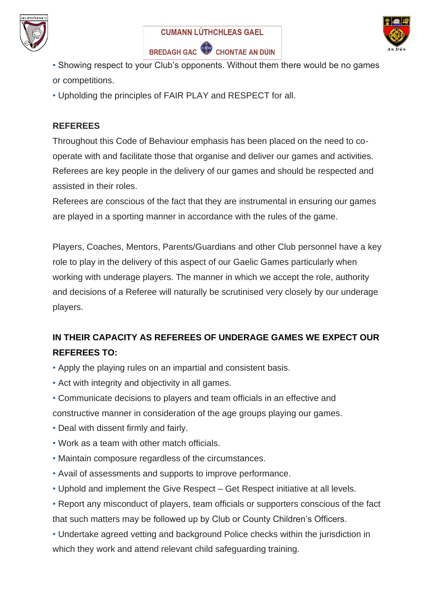





• Showing respect to your Club's opponents. Without them there would be no games or competitions.

• Upholding the principles of FAIR PLAY and RESPECT for all.

#### **REFEREES**

Throughout this Code of Behaviour emphasis has been placed on the need to cooperate with and facilitate those that organise and deliver our games and activities. Referees are key people in the delivery of our games and should be respected and assisted in their roles.

Referees are conscious of the fact that they are instrumental in ensuring our games are played in a sporting manner in accordance with the rules of the game.

Players, Coaches, Mentors, Parents/Guardians and other Club personnel have a key role to play in the delivery of this aspect of our Gaelic Games particularly when working with underage players. The manner in which we accept the role, authority and decisions of a Referee will naturally be scrutinised very closely by our underage players.

# **IN THEIR CAPACITY AS REFEREES OF UNDERAGE GAMES WE EXPECT OUR REFEREES TO:**

- Apply the playing rules on an impartial and consistent basis.
- Act with integrity and objectivity in all games.
- Communicate decisions to players and team officials in an effective and constructive manner in consideration of the age groups playing our games.
- Deal with dissent firmly and fairly.
- Work as a team with other match officials.
- Maintain composure regardless of the circumstances.
- Avail of assessments and supports to improve performance.
- Uphold and implement the Give Respect Get Respect initiative at all levels.
- Report any misconduct of players, team officials or supporters conscious of the fact that such matters may be followed up by Club or County Children's Officers.
- Undertake agreed vetting and background Police checks within the jurisdiction in which they work and attend relevant child safeguarding training.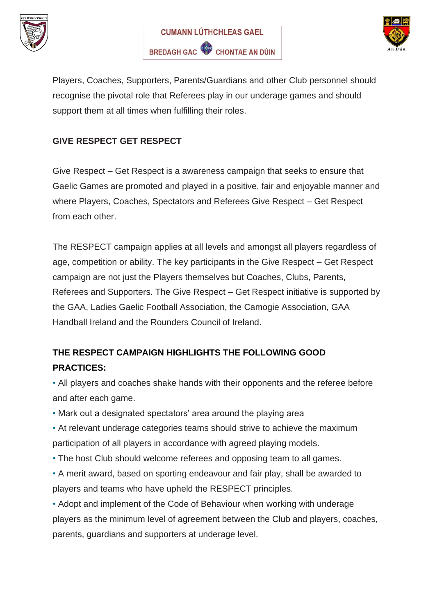





Players, Coaches, Supporters, Parents/Guardians and other Club personnel should recognise the pivotal role that Referees play in our underage games and should support them at all times when fulfilling their roles.

#### **GIVE RESPECT GET RESPECT**

Give Respect – Get Respect is a awareness campaign that seeks to ensure that Gaelic Games are promoted and played in a positive, fair and enjoyable manner and where Players, Coaches, Spectators and Referees Give Respect – Get Respect from each other.

The RESPECT campaign applies at all levels and amongst all players regardless of age, competition or ability. The key participants in the Give Respect – Get Respect campaign are not just the Players themselves but Coaches, Clubs, Parents, Referees and Supporters. The Give Respect – Get Respect initiative is supported by the GAA, Ladies Gaelic Football Association, the Camogie Association, GAA Handball Ireland and the Rounders Council of Ireland.

# **THE RESPECT CAMPAIGN HIGHLIGHTS THE FOLLOWING GOOD PRACTICES:**

• All players and coaches shake hands with their opponents and the referee before and after each game.

• Mark out a designated spectators' area around the playing area

• At relevant underage categories teams should strive to achieve the maximum participation of all players in accordance with agreed playing models.

- The host Club should welcome referees and opposing team to all games.
- A merit award, based on sporting endeavour and fair play, shall be awarded to players and teams who have upheld the RESPECT principles.

• Adopt and implement of the Code of Behaviour when working with underage players as the minimum level of agreement between the Club and players, coaches, parents, guardians and supporters at underage level.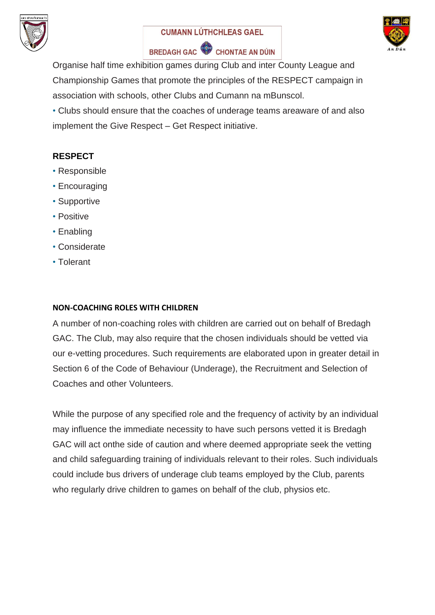





Organise half time exhibition games during Club and inter County League and Championship Games that promote the principles of the RESPECT campaign in association with schools, other Clubs and Cumann na mBunscol.

• Clubs should ensure that the coaches of underage teams areaware of and also implement the Give Respect – Get Respect initiative.

## **RESPECT**

- Responsible
- Encouraging
- Supportive
- Positive
- Enabling
- Considerate
- Tolerant

#### **NON-COACHING ROLES WITH CHILDREN**

A number of non-coaching roles with children are carried out on behalf of Bredagh GAC. The Club, may also require that the chosen individuals should be vetted via our e-vetting procedures. Such requirements are elaborated upon in greater detail in Section 6 of the Code of Behaviour (Underage), the Recruitment and Selection of Coaches and other Volunteers.

While the purpose of any specified role and the frequency of activity by an individual may influence the immediate necessity to have such persons vetted it is Bredagh GAC will act onthe side of caution and where deemed appropriate seek the vetting and child safeguarding training of individuals relevant to their roles. Such individuals could include bus drivers of underage club teams employed by the Club, parents who regularly drive children to games on behalf of the club, physios etc.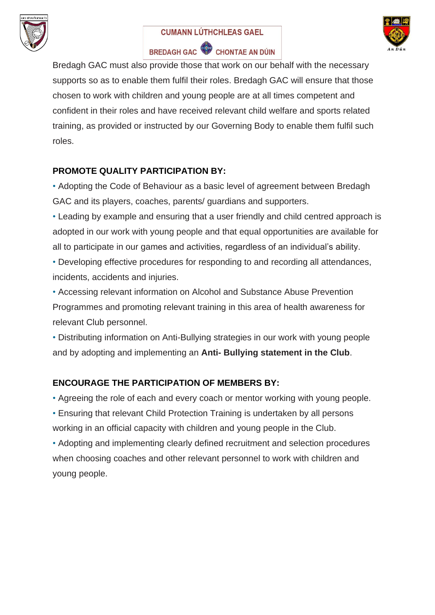

# **CUMANN LÚTHCHLEAS GAEL**



# BREDAGH GAC CHONTAE AN DÚIN

Bredagh GAC must also provide those that work on our behalf with the necessary supports so as to enable them fulfil their roles. Bredagh GAC will ensure that those chosen to work with children and young people are at all times competent and confident in their roles and have received relevant child welfare and sports related training, as provided or instructed by our Governing Body to enable them fulfil such roles.

## **PROMOTE QUALITY PARTICIPATION BY:**

- Adopting the Code of Behaviour as a basic level of agreement between Bredagh GAC and its players, coaches, parents/ guardians and supporters.
- Leading by example and ensuring that a user friendly and child centred approach is adopted in our work with young people and that equal opportunities are available for all to participate in our games and activities, regardless of an individual's ability.
- Developing effective procedures for responding to and recording all attendances, incidents, accidents and injuries.
- Accessing relevant information on Alcohol and Substance Abuse Prevention Programmes and promoting relevant training in this area of health awareness for relevant Club personnel.

• Distributing information on Anti-Bullying strategies in our work with young people and by adopting and implementing an **Anti- Bullying statement in the Club**.

## **ENCOURAGE THE PARTICIPATION OF MEMBERS BY:**

• Agreeing the role of each and every coach or mentor working with young people. • Ensuring that relevant Child Protection Training is undertaken by all persons working in an official capacity with children and young people in the Club.

• Adopting and implementing clearly defined recruitment and selection procedures when choosing coaches and other relevant personnel to work with children and young people.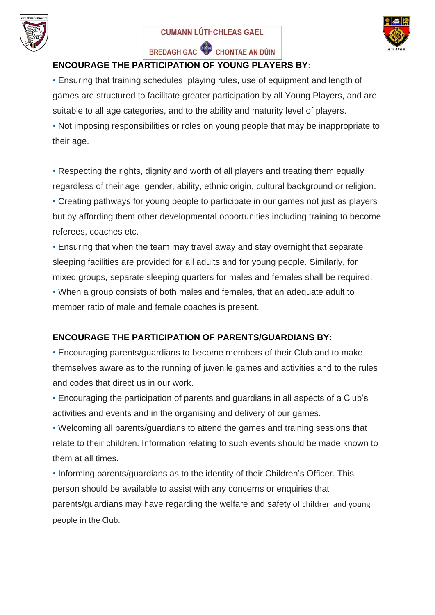





## **ENCOURAGE THE PARTICIPATION OF YOUNG PLAYERS BY:**

• Ensuring that training schedules, playing rules, use of equipment and length of games are structured to facilitate greater participation by all Young Players, and are suitable to all age categories, and to the ability and maturity level of players.

• Not imposing responsibilities or roles on young people that may be inappropriate to their age.

• Respecting the rights, dignity and worth of all players and treating them equally regardless of their age, gender, ability, ethnic origin, cultural background or religion.

• Creating pathways for young people to participate in our games not just as players but by affording them other developmental opportunities including training to become referees, coaches etc.

• Ensuring that when the team may travel away and stay overnight that separate sleeping facilities are provided for all adults and for young people. Similarly, for mixed groups, separate sleeping quarters for males and females shall be required. • When a group consists of both males and females, that an adequate adult to

member ratio of male and female coaches is present.

## **ENCOURAGE THE PARTICIPATION OF PARENTS/GUARDIANS BY:**

• Encouraging parents/guardians to become members of their Club and to make themselves aware as to the running of juvenile games and activities and to the rules and codes that direct us in our work.

• Encouraging the participation of parents and guardians in all aspects of a Club's activities and events and in the organising and delivery of our games.

• Welcoming all parents/guardians to attend the games and training sessions that relate to their children. Information relating to such events should be made known to them at all times.

• Informing parents/guardians as to the identity of their Children's Officer. This person should be available to assist with any concerns or enquiries that parents/guardians may have regarding the welfare and safety of children and young people in the Club.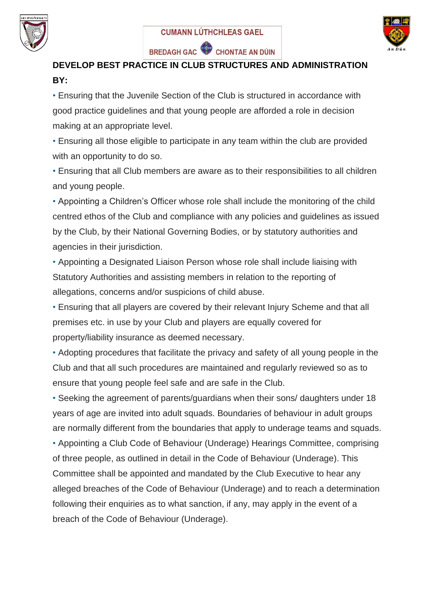





## **DEVELOP BEST PRACTICE IN CLUB STRUCTURES AND ADMINISTRATION BY:**

• Ensuring that the Juvenile Section of the Club is structured in accordance with good practice guidelines and that young people are afforded a role in decision making at an appropriate level.

• Ensuring all those eligible to participate in any team within the club are provided with an opportunity to do so.

• Ensuring that all Club members are aware as to their responsibilities to all children and young people.

• Appointing a Children's Officer whose role shall include the monitoring of the child centred ethos of the Club and compliance with any policies and guidelines as issued by the Club, by their National Governing Bodies, or by statutory authorities and agencies in their jurisdiction.

• Appointing a Designated Liaison Person whose role shall include liaising with Statutory Authorities and assisting members in relation to the reporting of allegations, concerns and/or suspicions of child abuse.

• Ensuring that all players are covered by their relevant Injury Scheme and that all premises etc. in use by your Club and players are equally covered for property/liability insurance as deemed necessary.

• Adopting procedures that facilitate the privacy and safety of all young people in the Club and that all such procedures are maintained and regularly reviewed so as to ensure that young people feel safe and are safe in the Club.

• Seeking the agreement of parents/guardians when their sons/ daughters under 18 years of age are invited into adult squads. Boundaries of behaviour in adult groups are normally different from the boundaries that apply to underage teams and squads.

• Appointing a Club Code of Behaviour (Underage) Hearings Committee, comprising of three people, as outlined in detail in the Code of Behaviour (Underage). This Committee shall be appointed and mandated by the Club Executive to hear any alleged breaches of the Code of Behaviour (Underage) and to reach a determination following their enquiries as to what sanction, if any, may apply in the event of a breach of the Code of Behaviour (Underage).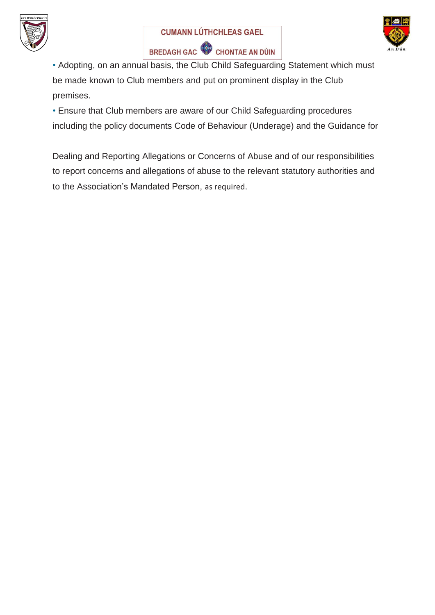





• Adopting, on an annual basis, the Club Child Safeguarding Statement which must be made known to Club members and put on prominent display in the Club premises.

• Ensure that Club members are aware of our Child Safeguarding procedures including the policy documents Code of Behaviour (Underage) and the Guidance for

Dealing and Reporting Allegations or Concerns of Abuse and of our responsibilities to report concerns and allegations of abuse to the relevant statutory authorities and to the Association's Mandated Person, as required.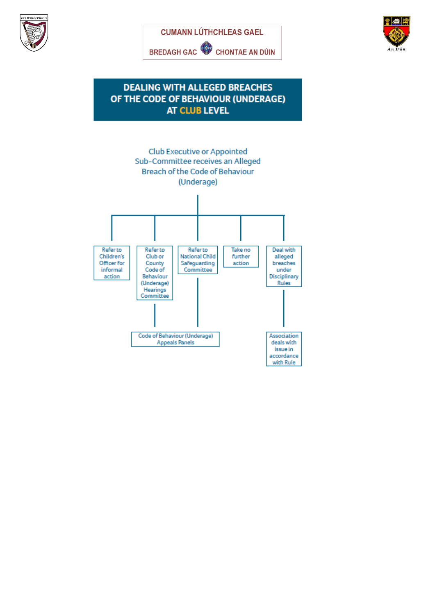





#### **DEALING WITH ALLEGED BREACHES** OF THE CODE OF BEHAVIOUR (UNDERAGE) **AT CLUB LEVEL**